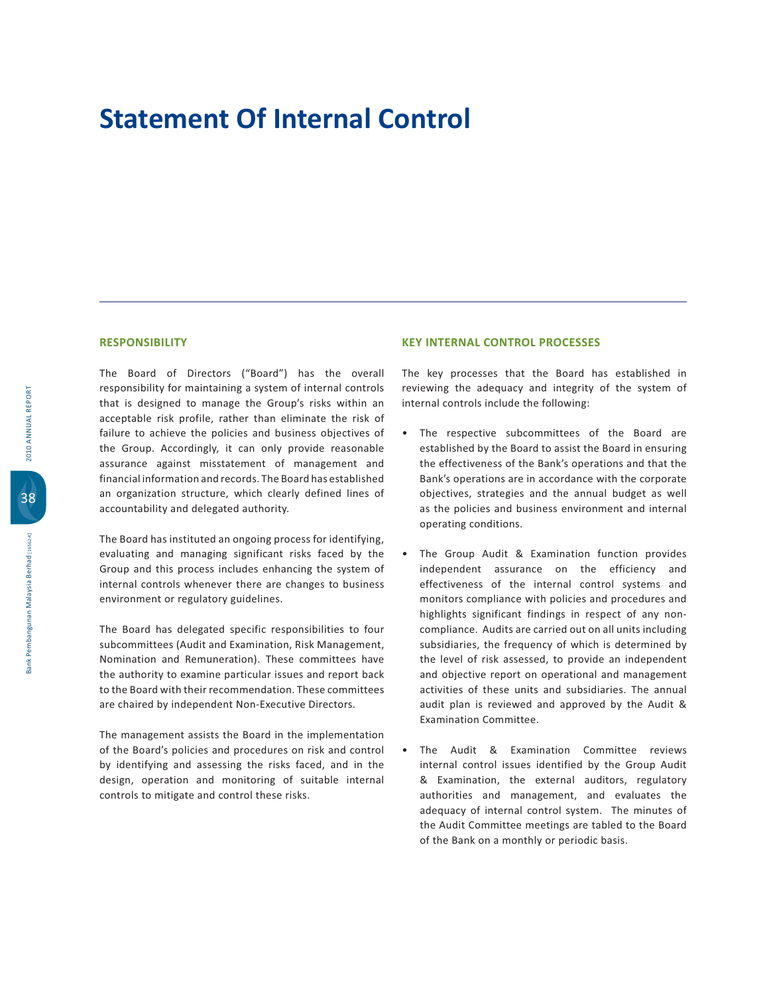## **Statement Of Internal Control**

**RESPONSIBILITY**

The Board of Directors ("Board") has the overall responsibility for maintaining a system of internal controls that is designed to manage the Group's risks within an acceptable risk profile, rather than eliminate the risk of failure to achieve the policies and business objectives of the Group. Accordingly, it can only provide reasonable assurance against misstatement of management and financial information and records. The Board has established an organization structure, which clearly defined lines of accountability and delegated authority.

The Board has instituted an ongoing process for identifying, evaluating and managing significant risks faced by the Group and this process includes enhancing the system of internal controls whenever there are changes to business environment or regulatory guidelines.

The Board has delegated specific responsibilities to four subcommittees (Audit and Examination, Risk Management, Nomination and Remuneration). These committees have the authority to examine particular issues and report back to the Board with their recommendation. These committees are chaired by independent Non-Executive Directors.

The management assists the Board in the implementation of the Board's policies and procedures on risk and control by identifying and assessing the risks faced, and in the design, operation and monitoring of suitable internal controls to mitigate and control these risks.

## **KEY INTERNAL CONTROL PROCESSES**

The key processes that the Board has established in reviewing the adequacy and integrity of the system of internal controls include the following:

- . The respective subcommittees of the Board are established by the Board to assist the Board in ensuring the effectiveness of the Bank's operations and that the Bank's operations are in accordance with the corporate objectives, strategies and the annual budget as well as the policies and business environment and internal operating conditions.
- . The Group Audit & Examination function provides independent assurance on the efficiency and effectiveness of the internal control systems and monitors compliance with policies and procedures and highlights significant findings in respect of any noncompliance. Audits are carried out on all units including subsidiaries, the frequency of which is determined by the level of risk assessed, to provide an independent and objective report on operational and management activities of these units and subsidiaries. The annual audit plan is reviewed and approved by the Audit & Examination Committee.
- . The Audit & Examination Committee reviews internal control issues identified by the Group Audit & Examination, the external auditors, regulatory authorities and management, and evaluates the adequacy of internal control system. The minutes of the Audit Committee meetings are tabled to the Board of the Bank on a monthly or periodic basis.